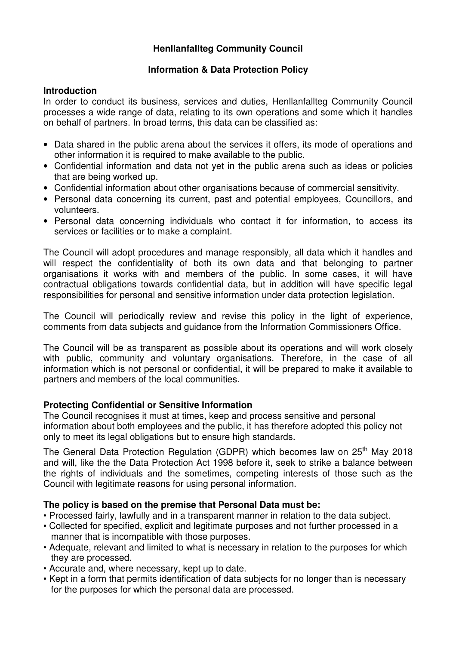# **Henllanfallteg Community Council**

## **Information & Data Protection Policy**

## **Introduction**

In order to conduct its business, services and duties, Henllanfallteg Community Council processes a wide range of data, relating to its own operations and some which it handles on behalf of partners. In broad terms, this data can be classified as:

- Data shared in the public arena about the services it offers, its mode of operations and other information it is required to make available to the public.
- Confidential information and data not yet in the public arena such as ideas or policies that are being worked up.
- Confidential information about other organisations because of commercial sensitivity.
- Personal data concerning its current, past and potential employees, Councillors, and volunteers.
- Personal data concerning individuals who contact it for information, to access its services or facilities or to make a complaint.

The Council will adopt procedures and manage responsibly, all data which it handles and will respect the confidentiality of both its own data and that belonging to partner organisations it works with and members of the public. In some cases, it will have contractual obligations towards confidential data, but in addition will have specific legal responsibilities for personal and sensitive information under data protection legislation.

The Council will periodically review and revise this policy in the light of experience, comments from data subjects and guidance from the Information Commissioners Office.

The Council will be as transparent as possible about its operations and will work closely with public, community and voluntary organisations. Therefore, in the case of all information which is not personal or confidential, it will be prepared to make it available to partners and members of the local communities.

## **Protecting Confidential or Sensitive Information**

The Council recognises it must at times, keep and process sensitive and personal information about both employees and the public, it has therefore adopted this policy not only to meet its legal obligations but to ensure high standards.

The General Data Protection Regulation (GDPR) which becomes law on 25<sup>th</sup> May 2018 and will, like the the Data Protection Act 1998 before it, seek to strike a balance between the rights of individuals and the sometimes, competing interests of those such as the Council with legitimate reasons for using personal information.

## **The policy is based on the premise that Personal Data must be:**

- Processed fairly, lawfully and in a transparent manner in relation to the data subject.
- Collected for specified, explicit and legitimate purposes and not further processed in a manner that is incompatible with those purposes.
- Adequate, relevant and limited to what is necessary in relation to the purposes for which they are processed.
- Accurate and, where necessary, kept up to date.
- Kept in a form that permits identification of data subjects for no longer than is necessary for the purposes for which the personal data are processed.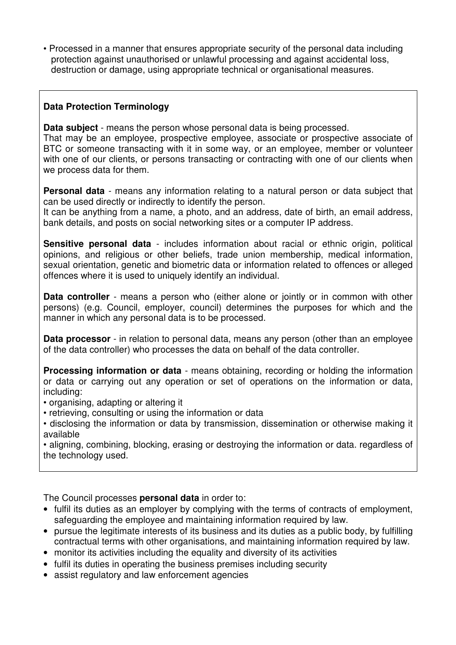• Processed in a manner that ensures appropriate security of the personal data including protection against unauthorised or unlawful processing and against accidental loss, destruction or damage, using appropriate technical or organisational measures.

# **Data Protection Terminology**

**Data subject** - means the person whose personal data is being processed.

That may be an employee, prospective employee, associate or prospective associate of BTC or someone transacting with it in some way, or an employee, member or volunteer with one of our clients, or persons transacting or contracting with one of our clients when we process data for them.

**Personal data** - means any information relating to a natural person or data subject that can be used directly or indirectly to identify the person.

It can be anything from a name, a photo, and an address, date of birth, an email address, bank details, and posts on social networking sites or a computer IP address.

**Sensitive personal data** - includes information about racial or ethnic origin, political opinions, and religious or other beliefs, trade union membership, medical information, sexual orientation, genetic and biometric data or information related to offences or alleged offences where it is used to uniquely identify an individual.

**Data controller** - means a person who (either alone or jointly or in common with other persons) (e.g. Council, employer, council) determines the purposes for which and the manner in which any personal data is to be processed.

**Data processor** - in relation to personal data, means any person (other than an employee of the data controller) who processes the data on behalf of the data controller.

**Processing information or data** - means obtaining, recording or holding the information or data or carrying out any operation or set of operations on the information or data, including:

- organising, adapting or altering it
- retrieving, consulting or using the information or data
- disclosing the information or data by transmission, dissemination or otherwise making it available

• aligning, combining, blocking, erasing or destroying the information or data. regardless of the technology used.

The Council processes **personal data** in order to:

- fulfil its duties as an employer by complying with the terms of contracts of employment, safeguarding the employee and maintaining information required by law.
- pursue the legitimate interests of its business and its duties as a public body, by fulfilling contractual terms with other organisations, and maintaining information required by law.
- monitor its activities including the equality and diversity of its activities
- fulfil its duties in operating the business premises including security
- assist regulatory and law enforcement agencies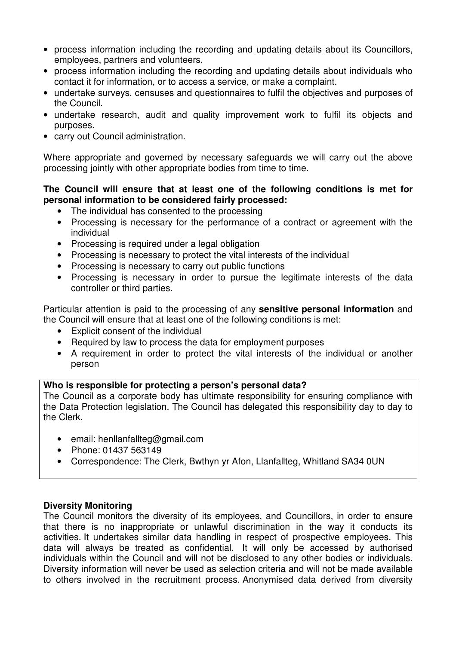- process information including the recording and updating details about its Councillors, employees, partners and volunteers.
- process information including the recording and updating details about individuals who contact it for information, or to access a service, or make a complaint.
- undertake surveys, censuses and questionnaires to fulfil the objectives and purposes of the Council.
- undertake research, audit and quality improvement work to fulfil its objects and purposes.
- carry out Council administration.

Where appropriate and governed by necessary safeguards we will carry out the above processing jointly with other appropriate bodies from time to time.

## **The Council will ensure that at least one of the following conditions is met for personal information to be considered fairly processed:**

- The individual has consented to the processing
- Processing is necessary for the performance of a contract or agreement with the individual
- Processing is required under a legal obligation
- Processing is necessary to protect the vital interests of the individual
- Processing is necessary to carry out public functions
- Processing is necessary in order to pursue the legitimate interests of the data controller or third parties.

Particular attention is paid to the processing of any **sensitive personal information** and the Council will ensure that at least one of the following conditions is met:

- Explicit consent of the individual
- Required by law to process the data for employment purposes
- A requirement in order to protect the vital interests of the individual or another person

## **Who is responsible for protecting a person's personal data?**

The Council as a corporate body has ultimate responsibility for ensuring compliance with the Data Protection legislation. The Council has delegated this responsibility day to day to the Clerk.

- email: henllanfallteg@gmail.com
- Phone: 01437 563149
- Correspondence: The Clerk, Bwthyn yr Afon, Llanfallteg, Whitland SA34 0UN

## **Diversity Monitoring**

The Council monitors the diversity of its employees, and Councillors, in order to ensure that there is no inappropriate or unlawful discrimination in the way it conducts its activities. It undertakes similar data handling in respect of prospective employees. This data will always be treated as confidential. It will only be accessed by authorised individuals within the Council and will not be disclosed to any other bodies or individuals. Diversity information will never be used as selection criteria and will not be made available to others involved in the recruitment process. Anonymised data derived from diversity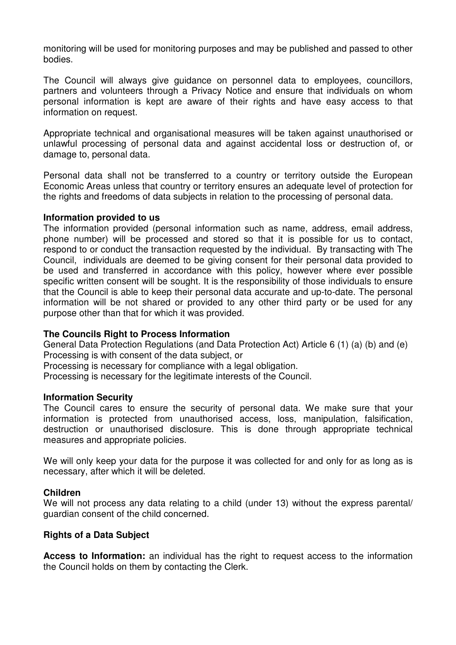monitoring will be used for monitoring purposes and may be published and passed to other bodies.

The Council will always give guidance on personnel data to employees, councillors, partners and volunteers through a Privacy Notice and ensure that individuals on whom personal information is kept are aware of their rights and have easy access to that information on request.

Appropriate technical and organisational measures will be taken against unauthorised or unlawful processing of personal data and against accidental loss or destruction of, or damage to, personal data.

Personal data shall not be transferred to a country or territory outside the European Economic Areas unless that country or territory ensures an adequate level of protection for the rights and freedoms of data subjects in relation to the processing of personal data.

#### **Information provided to us**

The information provided (personal information such as name, address, email address, phone number) will be processed and stored so that it is possible for us to contact, respond to or conduct the transaction requested by the individual. By transacting with The Council, individuals are deemed to be giving consent for their personal data provided to be used and transferred in accordance with this policy, however where ever possible specific written consent will be sought. It is the responsibility of those individuals to ensure that the Council is able to keep their personal data accurate and up-to-date. The personal information will be not shared or provided to any other third party or be used for any purpose other than that for which it was provided.

## **The Councils Right to Process Information**

General Data Protection Regulations (and Data Protection Act) Article 6 (1) (a) (b) and (e) Processing is with consent of the data subject, or

Processing is necessary for compliance with a legal obligation.

Processing is necessary for the legitimate interests of the Council.

#### **Information Security**

The Council cares to ensure the security of personal data. We make sure that your information is protected from unauthorised access, loss, manipulation, falsification, destruction or unauthorised disclosure. This is done through appropriate technical measures and appropriate policies.

We will only keep your data for the purpose it was collected for and only for as long as is necessary, after which it will be deleted.

#### **Children**

We will not process any data relating to a child (under 13) without the express parental/ guardian consent of the child concerned.

## **Rights of a Data Subject**

**Access to Information:** an individual has the right to request access to the information the Council holds on them by contacting the Clerk.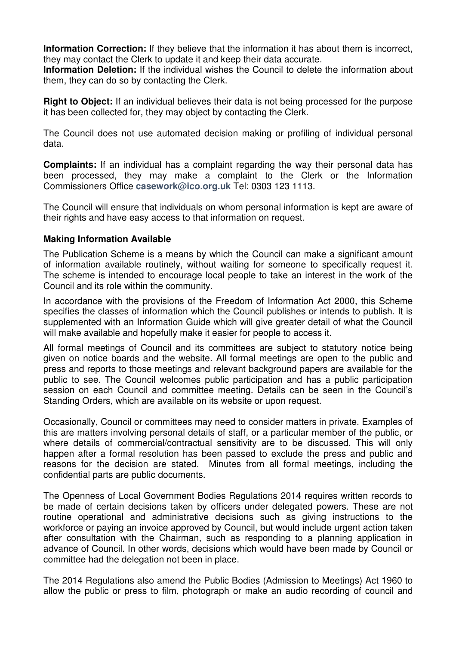**Information Correction:** If they believe that the information it has about them is incorrect. they may contact the Clerk to update it and keep their data accurate.

**Information Deletion:** If the individual wishes the Council to delete the information about them, they can do so by contacting the Clerk.

**Right to Object:** If an individual believes their data is not being processed for the purpose it has been collected for, they may object by contacting the Clerk.

The Council does not use automated decision making or profiling of individual personal data.

**Complaints:** If an individual has a complaint regarding the way their personal data has been processed, they may make a complaint to the Clerk or the Information Commissioners Office **casework@ico.org.uk** Tel: 0303 123 1113.

The Council will ensure that individuals on whom personal information is kept are aware of their rights and have easy access to that information on request.

## **Making Information Available**

The Publication Scheme is a means by which the Council can make a significant amount of information available routinely, without waiting for someone to specifically request it. The scheme is intended to encourage local people to take an interest in the work of the Council and its role within the community.

In accordance with the provisions of the Freedom of Information Act 2000, this Scheme specifies the classes of information which the Council publishes or intends to publish. It is supplemented with an Information Guide which will give greater detail of what the Council will make available and hopefully make it easier for people to access it.

All formal meetings of Council and its committees are subject to statutory notice being given on notice boards and the website. All formal meetings are open to the public and press and reports to those meetings and relevant background papers are available for the public to see. The Council welcomes public participation and has a public participation session on each Council and committee meeting. Details can be seen in the Council's Standing Orders, which are available on its website or upon request.

Occasionally, Council or committees may need to consider matters in private. Examples of this are matters involving personal details of staff, or a particular member of the public, or where details of commercial/contractual sensitivity are to be discussed. This will only happen after a formal resolution has been passed to exclude the press and public and reasons for the decision are stated. Minutes from all formal meetings, including the confidential parts are public documents.

The Openness of Local Government Bodies Regulations 2014 requires written records to be made of certain decisions taken by officers under delegated powers. These are not routine operational and administrative decisions such as giving instructions to the workforce or paying an invoice approved by Council, but would include urgent action taken after consultation with the Chairman, such as responding to a planning application in advance of Council. In other words, decisions which would have been made by Council or committee had the delegation not been in place.

The 2014 Regulations also amend the Public Bodies (Admission to Meetings) Act 1960 to allow the public or press to film, photograph or make an audio recording of council and